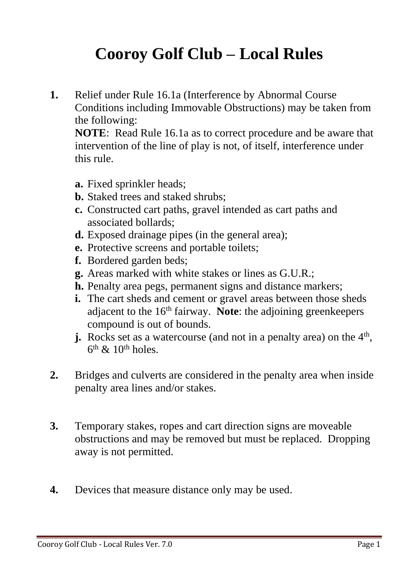## **Cooroy Golf Club – Local Rules**

**1.** Relief under Rule 16.1a (Interference by Abnormal Course Conditions including Immovable Obstructions) may be taken from the following:

**NOTE**: Read Rule 16.1a as to correct procedure and be aware that intervention of the line of play is not, of itself, interference under this rule.

- **a.** Fixed sprinkler heads;
- **b.** Staked trees and staked shrubs;
- **c.** Constructed cart paths, gravel intended as cart paths and associated bollards;
- **d.** Exposed drainage pipes (in the general area);
- **e.** Protective screens and portable toilets;
- **f.** Bordered garden beds;
- **g.** Areas marked with white stakes or lines as G.U.R.;
- **h.** Penalty area pegs, permanent signs and distance markers;
- **i.** The cart sheds and cement or gravel areas between those sheds adjacent to the 16<sup>th</sup> fairway. **Note**: the adjoining greenkeepers compound is out of bounds.
- **j.** Rocks set as a watercourse (and not in a penalty area) on the  $4<sup>th</sup>$ ,  $6<sup>th</sup>$  &  $10<sup>th</sup>$  holes.
- **2.** Bridges and culverts are considered in the penalty area when inside penalty area lines and/or stakes.
- **3.** Temporary stakes, ropes and cart direction signs are moveable obstructions and may be removed but must be replaced. Dropping away is not permitted.
- **4.** Devices that measure distance only may be used.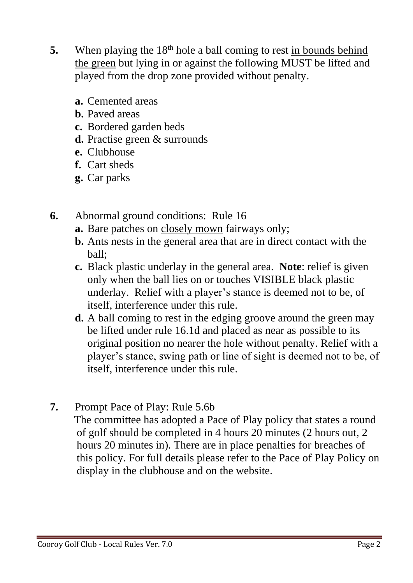- **5.** When playing the 18<sup>th</sup> hole a ball coming to rest in bounds behind the green but lying in or against the following MUST be lifted and played from the drop zone provided without penalty.
	- **a.** Cemented areas
	- **b.** Paved areas
	- **c.** Bordered garden beds
	- **d.** Practise green & surrounds
	- **e.** Clubhouse
	- **f.** Cart sheds
	- **g.** Car parks
- **6.** Abnormal ground conditions: Rule 16
	- **a.** Bare patches on closely mown fairways only;
	- **b.** Ants nests in the general area that are in direct contact with the ball;
	- **c.** Black plastic underlay in the general area. **Note**: relief is given only when the ball lies on or touches VISIBLE black plastic underlay. Relief with a player's stance is deemed not to be, of itself, interference under this rule.
	- **d.** A ball coming to rest in the edging groove around the green may be lifted under rule 16.1d and placed as near as possible to its original position no nearer the hole without penalty. Relief with a player's stance, swing path or line of sight is deemed not to be, of itself, interference under this rule.
- **7.** Prompt Pace of Play: Rule 5.6b
	- The committee has adopted a Pace of Play policy that states a round of golf should be completed in 4 hours 20 minutes (2 hours out, 2 hours 20 minutes in). There are in place penalties for breaches of this policy. For full details please refer to the Pace of Play Policy on display in the clubhouse and on the website.